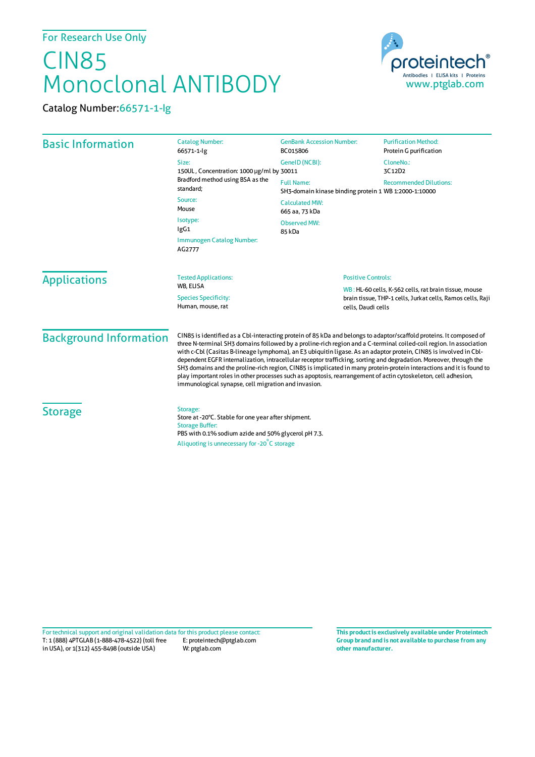## CIN85 Monoclonal ANTIBODY



Catalog Number:66571-1-Ig

| <b>Basic Information</b>      | <b>Catalog Number:</b><br>66571-1-lg<br>Size:<br>150UL, Concentration: 1000 µg/ml by 30011<br>Bradford method using BSA as the<br>standard:<br>Source:<br>Mouse<br>Isotype:<br>lgG1<br>Immunogen Catalog Number:<br>AG2777                                                                                                                                                                                                                                                                                                                                                                                                                                                                                                                                                            | <b>GenBank Accession Number:</b><br>BC015806<br>GeneID (NCBI):<br><b>Full Name:</b><br>SH3-domain kinase binding protein 1 WB 1:2000-1:10000<br><b>Calculated MW:</b><br>665 aa, 73 kDa<br>Observed MW:<br>85 kDa | <b>Purification Method:</b><br>Protein G purification<br>CloneNo.:<br>3C12D2<br><b>Recommended Dilutions:</b> |
|-------------------------------|---------------------------------------------------------------------------------------------------------------------------------------------------------------------------------------------------------------------------------------------------------------------------------------------------------------------------------------------------------------------------------------------------------------------------------------------------------------------------------------------------------------------------------------------------------------------------------------------------------------------------------------------------------------------------------------------------------------------------------------------------------------------------------------|-------------------------------------------------------------------------------------------------------------------------------------------------------------------------------------------------------------------|---------------------------------------------------------------------------------------------------------------|
| <b>Applications</b>           | <b>Tested Applications:</b><br>WB, ELISA<br><b>Species Specificity:</b><br>Human, mouse, rat                                                                                                                                                                                                                                                                                                                                                                                                                                                                                                                                                                                                                                                                                          | <b>Positive Controls:</b><br>WB: HL-60 cells, K-562 cells, rat brain tissue, mouse<br>brain tissue, THP-1 cells, Jurkat cells, Ramos cells, Raji<br>cells, Daudi cells                                            |                                                                                                               |
| <b>Background Information</b> | CIN85 is identified as a Cbl-interacting protein of 85 kDa and belongs to adaptor/scaffold proteins. It composed of<br>three N-terminal SH3 domains followed by a proline-rich region and a C-terminal coiled-coil region. In association<br>with c-Cbl (Casitas B-lineage lymphoma), an E3 ubiquitin ligase. As an adaptor protein, CIN85 is involved in Cbl-<br>dependent EGFR internalization, intracellular receptor trafficking, sorting and degradation. Moreover, through the<br>SH3 domains and the proline-rich region, CIN85 is implicated in many protein-protein interactions and it is found to<br>play important roles in other processes such as apoptosis, rearrangement of actin cytoskeleton, cell adhesion,<br>immunological synapse, cell migration and invasion. |                                                                                                                                                                                                                   |                                                                                                               |
| <b>Storage</b>                | Storage:<br>Store at -20°C. Stable for one year after shipment.<br><b>Storage Buffer:</b><br>PBS with 0.1% sodium azide and 50% glycerol pH 7.3.<br>Aliquoting is unnecessary for -20°C storage                                                                                                                                                                                                                                                                                                                                                                                                                                                                                                                                                                                       |                                                                                                                                                                                                                   |                                                                                                               |

T: 1 (888) 4PTGLAB (1-888-478-4522) (toll free E: proteintech@ptglab.com in USA), or 1(312) 455-8498 (outside USA) W: ptglab.com Fortechnical support and original validation data forthis product please contact: **This productis exclusively available under Proteintech**

**Group brand and is not available to purchase from any other manufacturer.**